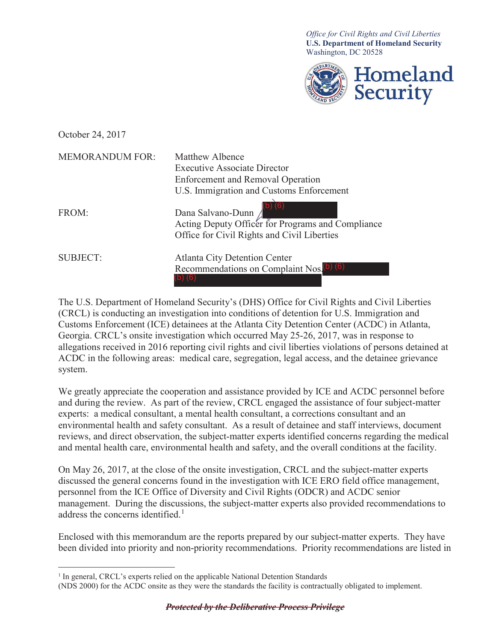**U.S. Department of Homeland Security** *Office for Civil Rights and Civil Liberties*  Washington, DC 20528



October 24, 2017

| <b>MEMORANDUM FOR:</b> | Matthew Albence                                                                                                       |  |
|------------------------|-----------------------------------------------------------------------------------------------------------------------|--|
|                        | <b>Executive Associate Director</b>                                                                                   |  |
|                        | <b>Enforcement and Removal Operation</b>                                                                              |  |
|                        | U.S. Immigration and Customs Enforcement                                                                              |  |
| FROM:                  | Dana Salvano-Dunn<br>Acting Deputy Officer for Programs and Compliance<br>Office for Civil Rights and Civil Liberties |  |
| <b>SUBJECT:</b>        | <b>Atlanta City Detention Center</b><br>Recommendations on Complaint Nos. <sup>(b)</sup> (6)                          |  |

The U.S. Department of Homeland Security's (DHS) Office for Civil Rights and Civil Liberties (CRCL) is conducting an investigation into conditions of detention for U.S. Immigration and Customs Enforcement (ICE) detainees at the Atlanta City Detention Center (ACDC) in Atlanta, Georgia. CRCL's onsite investigation which occurred May 25-26, 2017, was in response to allegations received in 2016 reporting civil rights and civil liberties violations of persons detained at ACDC in the following areas: medical care, segregation, legal access, and the detainee grievance system.

 We greatly appreciate the cooperation and assistance provided by ICE and ACDC personnel before and during the review. As part of the review, CRCL engaged the assistance of four subject-matter experts: a medical consultant, a mental health consultant, a corrections consultant and an environmental health and safety consultant. As a result of detainee and staff interviews, document reviews, and direct observation, the subject-matter experts identified concerns regarding the medical and mental health care, environmental health and safety, and the overall conditions at the facility.

On May 26, 2017, at the close of the onsite investigation, CRCL and the subject-matter experts discussed the general concerns found in the investigation with ICE ERO field office management, personnel from the ICE Office of Diversity and Civil Rights (ODCR) and ACDC senior management. During the discussions, the subject-matter experts also provided recommendations to address the concerns identified.<sup>1</sup>

Enclosed with this memorandum are the reports prepared by our subject-matter experts. They have been divided into priority and non-priority recommendations. Priority recommendations are listed in

<sup>&</sup>lt;sup>1</sup> In general, CRCL's experts relied on the applicable National Detention Standards

 (NDS 2000) for the ACDC onsite as they were the standards the facility is contractually obligated to implement.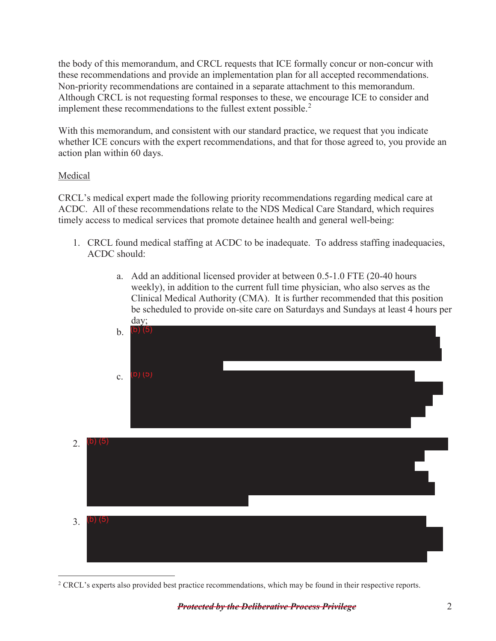the body of this memorandum, and CRCL requests that ICE formally concur or non-concur with these recommendations and provide an implementation plan for all accepted recommendations. Non-priority recommendations are contained in a separate attachment to this memorandum. Although CRCL is not requesting formal responses to these, we encourage ICE to consider and implement these recommendations to the fullest extent possible.<sup>2</sup>

With this memorandum, and consistent with our standard practice, we request that you indicate whether ICE concurs with the expert recommendations, and that for those agreed to, you provide an action plan within 60 days.

## Medical

 CRCL's medical expert made the following priority recommendations regarding medical care at ACDC. All of these recommendations relate to the NDS Medical Care Standard, which requires timely access to medical services that promote detainee health and general well-being:

- 1. CRCL found medical staffing at ACDC to be inadequate. To address staffing inadequacies, ACDC should:
	- a. Add an additional licensed provider at between 0.5-1.0 FTE (20-40 hours weekly), in addition to the current full time physician, who also serves as the Clinical Medical Authority (CMA). It is further recommended that this position be scheduled to provide on-site care on Saturdays and Sundays at least 4 hours per day;



<sup>&</sup>lt;sup>2</sup> CRCL's experts also provided best practice recommendations, which may be found in their respective reports.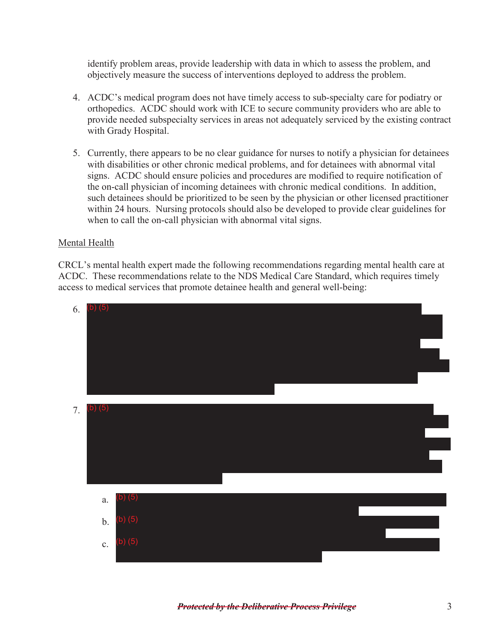identify problem areas, provide leadership with data in which to assess the problem, and objectively measure the success of interventions deployed to address the problem.

- provide needed subspecialty services in areas not adequately serviced by the existing contract 4. ACDC's medical program does not have timely access to sub-specialty care for podiatry or orthopedics. ACDC should work with ICE to secure community providers who are able to with Grady Hospital.
- 5. Currently, there appears to be no clear guidance for nurses to notify a physician for detainees with disabilities or other chronic medical problems, and for detainees with abnormal vital signs. ACDC should ensure policies and procedures are modified to require notification of the on-call physician of incoming detainees with chronic medical conditions. In addition, such detainees should be prioritized to be seen by the physician or other licensed practitioner within 24 hours. Nursing protocols should also be developed to provide clear guidelines for when to call the on-call physician with abnormal vital signs.

## Mental Health

CRCL's mental health expert made the following recommendations regarding mental health care at ACDC. These recommendations relate to the NDS Medical Care Standard, which requires timely access to medical services that promote detainee health and general well-being:

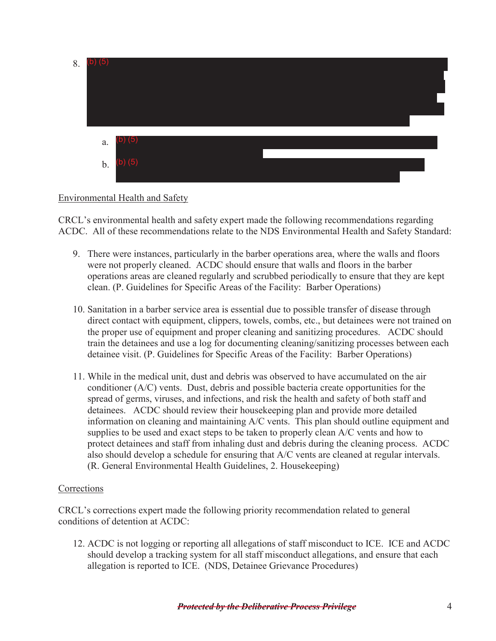| 8. | $(b)$ $(5)$ |              |  |
|----|-------------|--------------|--|
|    | a.          | $(b)$ $(5)$  |  |
|    |             | $b.$ (b) (5) |  |

## Environmental Health and Safety

 CRCL's environmental health and safety expert made the following recommendations regarding ACDC. All of these recommendations relate to the NDS Environmental Health and Safety Standard:

- clean. (P. Guidelines for Specific Areas of the Facility: Barber Operations) 9. There were instances, particularly in the barber operations area, where the walls and floors were not properly cleaned. ACDC should ensure that walls and floors in the barber operations areas are cleaned regularly and scrubbed periodically to ensure that they are kept
- 10. Sanitation in a barber service area is essential due to possible transfer of disease through direct contact with equipment, clippers, towels, combs, etc., but detainees were not trained on the proper use of equipment and proper cleaning and sanitizing procedures. ACDC should train the detainees and use a log for documenting cleaning/sanitizing processes between each detainee visit. (P. Guidelines for Specific Areas of the Facility: Barber Operations)
- 11. While in the medical unit, dust and debris was observed to have accumulated on the air conditioner (A/C) vents. Dust, debris and possible bacteria create opportunities for the spread of germs, viruses, and infections, and risk the health and safety of both staff and detainees. ACDC should review their housekeeping plan and provide more detailed information on cleaning and maintaining A/C vents. This plan should outline equipment and supplies to be used and exact steps to be taken to properly clean A/C vents and how to protect detainees and staff from inhaling dust and debris during the cleaning process. ACDC also should develop a schedule for ensuring that A/C vents are cleaned at regular intervals. (R. General Environmental Health Guidelines, 2. Housekeeping)

## Corrections

CRCL's corrections expert made the following priority recommendation related to general conditions of detention at ACDC:

12. ACDC is not logging or reporting all allegations of staff misconduct to ICE. ICE and ACDC should develop a tracking system for all staff misconduct allegations, and ensure that each allegation is reported to ICE. (NDS, Detainee Grievance Procedures)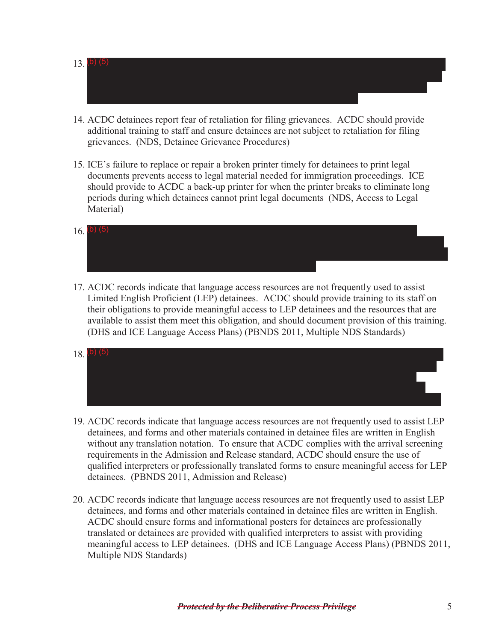- $(13, (b) (5)$
- 14. ACDC detainees report fear of retaliation for filing grievances. ACDC should provide additional training to staff and ensure detainees are not subject to retaliation for filing grievances. (NDS, Detainee Grievance Procedures)
- should provide to ACDC a back-up printer for when the printer breaks to eliminate long periods during which detainees cannot print legal documents (NDS, Access to Legal 15. ICE's failure to replace or repair a broken printer timely for detainees to print legal documents prevents access to legal material needed for immigration proceedings. ICE Material)
- $16.$  (b) (5)
- 17. ACDC records indicate that language access resources are not frequently used to assist Limited English Proficient (LEP) detainees. ACDC should provide training to its staff on their obligations to provide meaningful access to LEP detainees and the resources that are available to assist them meet this obligation, and should document provision of this training. (DHS and ICE Language Access Plans) (PBNDS 2011, Multiple NDS Standards)
- $18.$  (b) (5)
- 19. ACDC records indicate that language access resources are not frequently used to assist LEP detainees, and forms and other materials contained in detainee files are written in English without any translation notation. To ensure that ACDC complies with the arrival screening requirements in the Admission and Release standard, ACDC should ensure the use of qualified interpreters or professionally translated forms to ensure meaningful access for LEP detainees. (PBNDS 2011, Admission and Release)
- 20. ACDC records indicate that language access resources are not frequently used to assist LEP detainees, and forms and other materials contained in detainee files are written in English. ACDC should ensure forms and informational posters for detainees are professionally translated or detainees are provided with qualified interpreters to assist with providing meaningful access to LEP detainees. (DHS and ICE Language Access Plans) (PBNDS 2011, Multiple NDS Standards)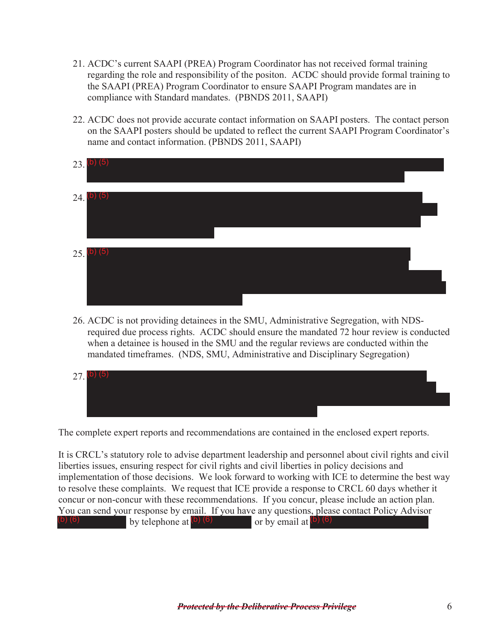- compliance with Standard mandates. (PBNDS 2011, SAAPI) 21. ACDC's current SAAPI (PREA) Program Coordinator has not received formal training regarding the role and responsibility of the positon. ACDC should provide formal training to the SAAPI (PREA) Program Coordinator to ensure SAAPI Program mandates are in
- 22. ACDC does not provide accurate contact information on SAAPI posters. The contact person on the SAAPI posters should be updated to reflect the current SAAPI Program Coordinator's name and contact information. (PBNDS 2011, SAAPI)



26. ACDC is not providing detainees in the SMU, Administrative Segregation, with NDSrequired due process rights. ACDC should ensure the mandated 72 hour review is conducted when a detainee is housed in the SMU and the regular reviews are conducted within the mandated timeframes. (NDS, SMU, Administrative and Disciplinary Segregation)



The complete expert reports and recommendations are contained in the enclosed expert reports.

 You can send your response by email. If you have any questions, please contact Policy Advisor It is CRCL's statutory role to advise department leadership and personnel about civil rights and civil liberties issues, ensuring respect for civil rights and civil liberties in policy decisions and implementation of those decisions. We look forward to working with ICE to determine the best way to resolve these complaints. We request that ICE provide a response to CRCL 60 days whether it concur or non-concur with these recommendations. If you concur, please include an action plan. by telephone at  $(b)$  (6) by email at  $(b)$  (6)